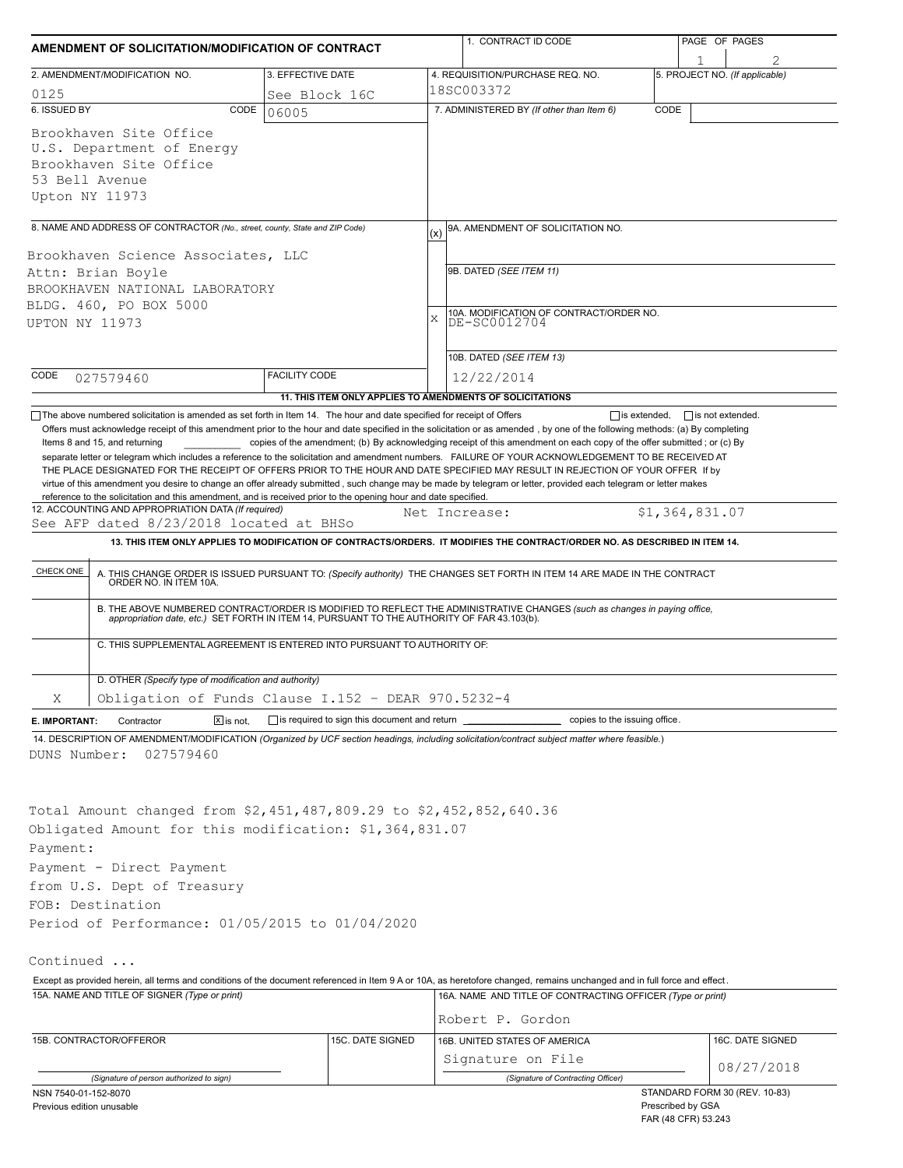| AMENDMENT OF SOLICITATION/MODIFICATION OF CONTRACT                                                                                         |                                                                                                                                                                                                                                                                                                                                                                                                                                                                                                                                                                                                                                                                                                                                                                                                                                                                                                                                     |                                                           |  | 1. CONTRACT ID CODE                                                                                                                                                                                                                                         |                                          | PAGE OF PAGES                  |  |  |  |  |
|--------------------------------------------------------------------------------------------------------------------------------------------|-------------------------------------------------------------------------------------------------------------------------------------------------------------------------------------------------------------------------------------------------------------------------------------------------------------------------------------------------------------------------------------------------------------------------------------------------------------------------------------------------------------------------------------------------------------------------------------------------------------------------------------------------------------------------------------------------------------------------------------------------------------------------------------------------------------------------------------------------------------------------------------------------------------------------------------|-----------------------------------------------------------|--|-------------------------------------------------------------------------------------------------------------------------------------------------------------------------------------------------------------------------------------------------------------|------------------------------------------|--------------------------------|--|--|--|--|
|                                                                                                                                            | 2. AMENDMENT/MODIFICATION NO.                                                                                                                                                                                                                                                                                                                                                                                                                                                                                                                                                                                                                                                                                                                                                                                                                                                                                                       | 3. EFFECTIVE DATE                                         |  | 4. REQUISITION/PURCHASE REQ. NO.                                                                                                                                                                                                                            |                                          | 5. PROJECT NO. (If applicable) |  |  |  |  |
| 0125<br>See Block 16C                                                                                                                      |                                                                                                                                                                                                                                                                                                                                                                                                                                                                                                                                                                                                                                                                                                                                                                                                                                                                                                                                     |                                                           |  | l18SC003372                                                                                                                                                                                                                                                 |                                          |                                |  |  |  |  |
| 6. ISSUED BY                                                                                                                               | CODE                                                                                                                                                                                                                                                                                                                                                                                                                                                                                                                                                                                                                                                                                                                                                                                                                                                                                                                                | 06005                                                     |  | 7. ADMINISTERED BY (If other than Item 6)                                                                                                                                                                                                                   | CODE                                     |                                |  |  |  |  |
| Upton NY 11973                                                                                                                             | Brookhaven Site Office<br>U.S. Department of Energy<br>Brookhaven Site Office<br>53 Bell Avenue                                                                                                                                                                                                                                                                                                                                                                                                                                                                                                                                                                                                                                                                                                                                                                                                                                     |                                                           |  |                                                                                                                                                                                                                                                             |                                          |                                |  |  |  |  |
|                                                                                                                                            | 8. NAME AND ADDRESS OF CONTRACTOR (No., street, county, State and ZIP Code)                                                                                                                                                                                                                                                                                                                                                                                                                                                                                                                                                                                                                                                                                                                                                                                                                                                         |                                                           |  | 9A. AMENDMENT OF SOLICITATION NO.                                                                                                                                                                                                                           |                                          |                                |  |  |  |  |
| Brookhaven Science Associates, LLC<br>Attn: Brian Boyle<br>BROOKHAVEN NATIONAL LABORATORY<br>BLDG. 460, PO BOX 5000<br>X<br>UPTON NY 11973 |                                                                                                                                                                                                                                                                                                                                                                                                                                                                                                                                                                                                                                                                                                                                                                                                                                                                                                                                     |                                                           |  | 9B. DATED (SEE ITEM 11)<br>10A. MODIFICATION OF CONTRACT/ORDER NO.<br>DE-SC0012704                                                                                                                                                                          |                                          |                                |  |  |  |  |
| CODE                                                                                                                                       |                                                                                                                                                                                                                                                                                                                                                                                                                                                                                                                                                                                                                                                                                                                                                                                                                                                                                                                                     | <b>FACILITY CODE</b>                                      |  | 10B. DATED (SEE ITEM 13)                                                                                                                                                                                                                                    |                                          |                                |  |  |  |  |
|                                                                                                                                            | 027579460                                                                                                                                                                                                                                                                                                                                                                                                                                                                                                                                                                                                                                                                                                                                                                                                                                                                                                                           | 11. THIS ITEM ONLY APPLIES TO AMENDMENTS OF SOLICITATIONS |  | 12/22/2014                                                                                                                                                                                                                                                  |                                          |                                |  |  |  |  |
| CHECK ONE                                                                                                                                  | virtue of this amendment you desire to change an offer already submitted, such change may be made by telegram or letter, provided each telegram or letter makes<br>reference to the solicitation and this amendment, and is received prior to the opening hour and date specified.<br>12. ACCOUNTING AND APPROPRIATION DATA (If required)<br>\$1,364,831.07<br>Net Increase:<br>See AFP dated 8/23/2018 located at BHSo<br>13. THIS ITEM ONLY APPLIES TO MODIFICATION OF CONTRACTS/ORDERS. IT MODIFIES THE CONTRACT/ORDER NO. AS DESCRIBED IN ITEM 14.<br>A. THIS CHANGE ORDER IS ISSUED PURSUANT TO: (Specify authority) THE CHANGES SET FORTH IN ITEM 14 ARE MADE IN THE CONTRACT ORDER NO. IN ITEM 10A.<br>B. THE ABOVE NUMBERED CONTRACT/ORDER IS MODIFIED TO REFLECT THE ADMINISTRATIVE CHANGES (such as changes in paying office, appropriation date, etc.) SET FORTH IN ITEM 14, PURSUANT TO THE AUTHORITY OF FAR 43.103(b). |                                                           |  |                                                                                                                                                                                                                                                             |                                          |                                |  |  |  |  |
|                                                                                                                                            | C. THIS SUPPLEMENTAL AGREEMENT IS ENTERED INTO PURSUANT TO AUTHORITY OF:<br>D. OTHER (Specify type of modification and authority)                                                                                                                                                                                                                                                                                                                                                                                                                                                                                                                                                                                                                                                                                                                                                                                                   |                                                           |  |                                                                                                                                                                                                                                                             |                                          |                                |  |  |  |  |
| X                                                                                                                                          | Obligation of Funds Clause I.152 - DEAR 970.5232-4                                                                                                                                                                                                                                                                                                                                                                                                                                                                                                                                                                                                                                                                                                                                                                                                                                                                                  |                                                           |  |                                                                                                                                                                                                                                                             |                                          |                                |  |  |  |  |
| E. IMPORTANT:                                                                                                                              | $X$ is not.<br>Contractor                                                                                                                                                                                                                                                                                                                                                                                                                                                                                                                                                                                                                                                                                                                                                                                                                                                                                                           | $\Box$ is required to sign this document and return       |  | copies to the issuing office.                                                                                                                                                                                                                               |                                          |                                |  |  |  |  |
| DUNS Number:<br>Payment:                                                                                                                   | 027579460<br>Total Amount changed from \$2,451,487,809.29 to \$2,452,852,640.36<br>Obligated Amount for this modification: \$1,364,831.07<br>Payment - Direct Payment                                                                                                                                                                                                                                                                                                                                                                                                                                                                                                                                                                                                                                                                                                                                                               |                                                           |  | 14. DESCRIPTION OF AMENDMENT/MODIFICATION (Organized by UCF section headings, including solicitation/contract subject matter where feasible.)                                                                                                               |                                          |                                |  |  |  |  |
|                                                                                                                                            | from U.S. Dept of Treasury                                                                                                                                                                                                                                                                                                                                                                                                                                                                                                                                                                                                                                                                                                                                                                                                                                                                                                          |                                                           |  |                                                                                                                                                                                                                                                             |                                          |                                |  |  |  |  |
|                                                                                                                                            | FOB: Destination                                                                                                                                                                                                                                                                                                                                                                                                                                                                                                                                                                                                                                                                                                                                                                                                                                                                                                                    |                                                           |  |                                                                                                                                                                                                                                                             |                                          |                                |  |  |  |  |
|                                                                                                                                            | Period of Performance: 01/05/2015 to 01/04/2020                                                                                                                                                                                                                                                                                                                                                                                                                                                                                                                                                                                                                                                                                                                                                                                                                                                                                     |                                                           |  |                                                                                                                                                                                                                                                             |                                          |                                |  |  |  |  |
| Continued                                                                                                                                  | 15A. NAME AND TITLE OF SIGNER (Type or print)                                                                                                                                                                                                                                                                                                                                                                                                                                                                                                                                                                                                                                                                                                                                                                                                                                                                                       |                                                           |  | Except as provided herein, all terms and conditions of the document referenced in Item 9 A or 10A, as heretofore changed, remains unchanged and in full force and effect.<br>16A. NAME AND TITLE OF CONTRACTING OFFICER (Type or print)<br>Robert P. Gordon |                                          |                                |  |  |  |  |
|                                                                                                                                            | 15B. CONTRACTOR/OFFEROR                                                                                                                                                                                                                                                                                                                                                                                                                                                                                                                                                                                                                                                                                                                                                                                                                                                                                                             | 15C. DATE SIGNED                                          |  | 16B. UNITED STATES OF AMERICA<br>Signature on File                                                                                                                                                                                                          |                                          | 16C. DATE SIGNED               |  |  |  |  |
|                                                                                                                                            | (Signature of person authorized to sign)                                                                                                                                                                                                                                                                                                                                                                                                                                                                                                                                                                                                                                                                                                                                                                                                                                                                                            |                                                           |  | (Signature of Contracting Officer)                                                                                                                                                                                                                          |                                          | 08/27/2018                     |  |  |  |  |
| NSN 7540-01-152-8070                                                                                                                       |                                                                                                                                                                                                                                                                                                                                                                                                                                                                                                                                                                                                                                                                                                                                                                                                                                                                                                                                     |                                                           |  |                                                                                                                                                                                                                                                             |                                          | STANDARD FORM 30 (REV. 10-83)  |  |  |  |  |
| Previous edition unusable                                                                                                                  |                                                                                                                                                                                                                                                                                                                                                                                                                                                                                                                                                                                                                                                                                                                                                                                                                                                                                                                                     |                                                           |  |                                                                                                                                                                                                                                                             | Prescribed by GSA<br>FAR (48 CFR) 53.243 |                                |  |  |  |  |